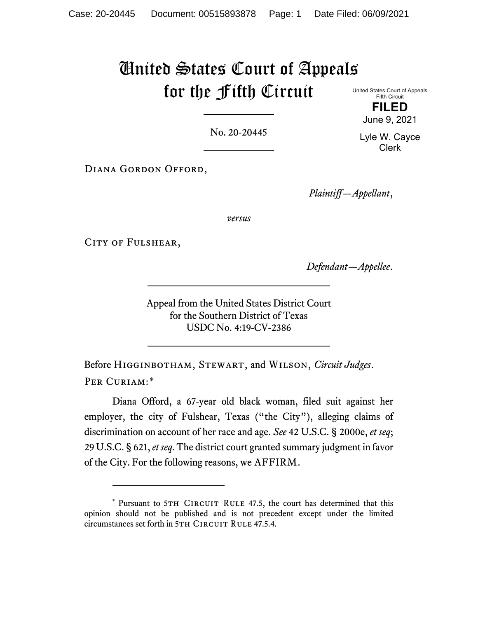# United States Court of Appeals for the Fifth Circuit

United States Court of Appeals Fifth Circuit **FILED**

June 9, 2021

No. 20-20445

Diana Gordon Offord,

*Plaintiff—Appellant*,

*versus*

CITY OF FULSHEAR,

*Defendant—Appellee*.

Appeal from the United States District Court for the Southern District of Texas USDC No. 4:19-CV-2386

Before Higginbotham, Stewart, and Wilson, *Circuit Judges*. PER CURIAM:[\\*](#page-0-0)

Diana Offord, a 67-year old black woman, filed suit against her employer, the city of Fulshear, Texas ("the City"), alleging claims of discrimination on account of her race and age. *See* 42 U.S.C. § 2000e, *et seq*; 29 U.S.C. § 621, *et seq*. The district court granted summary judgment in favor of the City. For the following reasons, we AFFIRM.

Lyle W. Cayce Clerk

<span id="page-0-0"></span><sup>\*</sup> Pursuant to 5TH CIRCUIT RULE 47.5, the court has determined that this opinion should not be published and is not precedent except under the limited circumstances set forth in 5TH CIRCUIT RULE 47.5.4.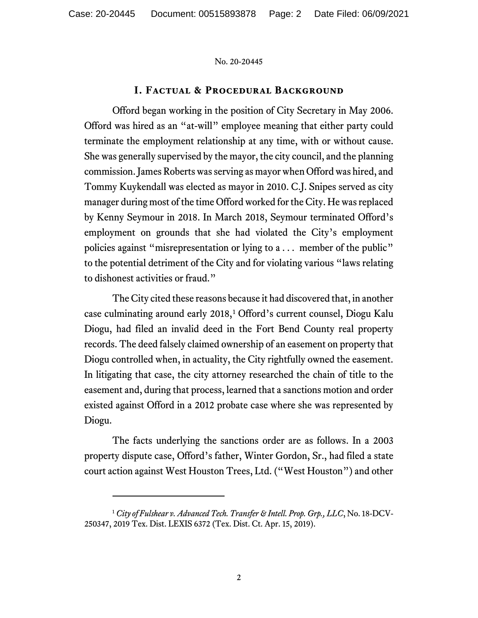# **I. Factual & Procedural Background**

Offord began working in the position of City Secretary in May 2006. Offord was hired as an "at-will" employee meaning that either party could terminate the employment relationship at any time, with or without cause. She was generally supervised by the mayor, the city council, and the planning commission. James Roberts was serving as mayor when Offord was hired, and Tommy Kuykendall was elected as mayor in 2010. C.J. Snipes served as city manager during most of the time Offord worked for the City. Hewas replaced by Kenny Seymour in 2018. In March 2018, Seymour terminated Offord's employment on grounds that she had violated the City's employment policies against "misrepresentation or lying to a . . . member of the public" to the potential detriment of the City and for violating various "laws relating to dishonest activities or fraud."

The City cited these reasons because it had discovered that, in another case culminating around early 20[1](#page-1-0)8,<sup>1</sup> Offord's current counsel, Diogu Kalu Diogu, had filed an invalid deed in the Fort Bend County real property records. The deed falsely claimed ownership of an easement on property that Diogu controlled when, in actuality, the City rightfully owned the easement. In litigating that case, the city attorney researched the chain of title to the easement and, during that process, learned that a sanctions motion and order existed against Offord in a 2012 probate case where she was represented by Diogu.

The facts underlying the sanctions order are as follows. In a 2003 property dispute case, Offord's father, Winter Gordon, Sr., had filed a state court action against West Houston Trees, Ltd. ("West Houston") and other

<span id="page-1-0"></span><sup>1</sup> *City of Fulshear v. Advanced Tech. Transfer & Intell. Prop. Grp., LLC*, No. 18-DCV-250347, 2019 Tex. Dist. LEXIS 6372 (Tex. Dist. Ct. Apr. 15, 2019).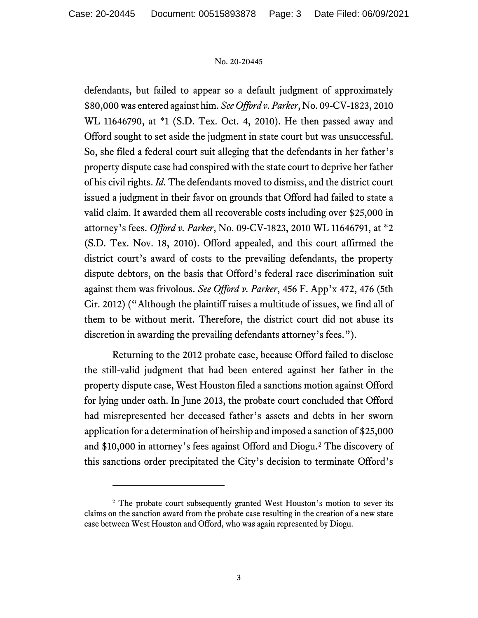defendants, but failed to appear so a default judgment of approximately \$80,000was entered against him. *See Offord v. Parker*, No. 09-CV-1823, 2010 WL 11646790, at \*1 (S.D. Tex. Oct. 4, 2010). He then passed away and Offord sought to set aside the judgment in state court but was unsuccessful. So, she filed a federal court suit alleging that the defendants in her father's property dispute case had conspired with the state court to deprive her father of his civil rights. *Id*. The defendants moved to dismiss, and the district court issued a judgment in their favor on grounds that Offord had failed to state a valid claim. It awarded them all recoverable costs including over \$25,000 in attorney's fees. *Offord v. Parker*, No. 09-CV-1823, 2010 WL 11646791, at \*2 (S.D. Tex. Nov. 18, 2010). Offord appealed, and this court affirmed the district court's award of costs to the prevailing defendants, the property dispute debtors, on the basis that Offord's federal race discrimination suit against them was frivolous. *See Offord v. Parker*, 456 F. App'x 472, 476 (5th Cir. 2012) ("Although the plaintiff raises a multitude of issues, we find all of them to be without merit. Therefore, the district court did not abuse its discretion in awarding the prevailing defendants attorney's fees.").

Returning to the 2012 probate case, because Offord failed to disclose the still-valid judgment that had been entered against her father in the property dispute case, West Houston filed a sanctions motion against Offord for lying under oath. In June 2013, the probate court concluded that Offord had misrepresented her deceased father's assets and debts in her sworn application for a determination of heirship and imposed a sanction of \$25,000 and \$10,000 in attorney's fees against Offord and Diogu.[2](#page-2-0) The discovery of this sanctions order precipitated the City's decision to terminate Offord's

<span id="page-2-0"></span><sup>&</sup>lt;sup>2</sup> The probate court subsequently granted West Houston's motion to sever its claims on the sanction award from the probate case resulting in the creation of a new state case between West Houston and Offord, who was again represented by Diogu.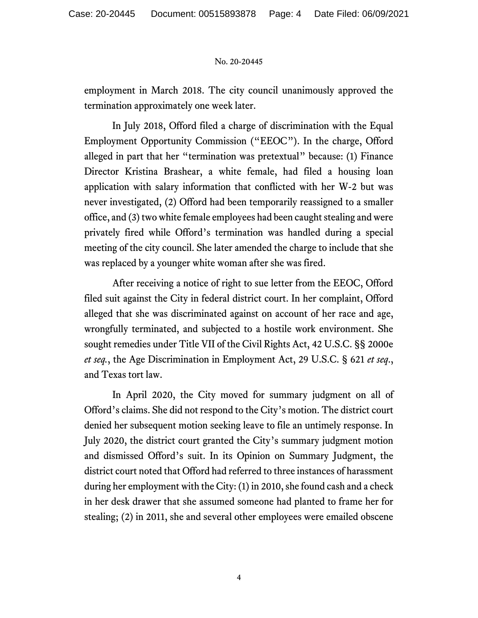employment in March 2018. The city council unanimously approved the termination approximately one week later.

In July 2018, Offord filed a charge of discrimination with the Equal Employment Opportunity Commission ("EEOC"). In the charge, Offord alleged in part that her "termination was pretextual" because: (1) Finance Director Kristina Brashear, a white female, had filed a housing loan application with salary information that conflicted with her W-2 but was never investigated, (2) Offord had been temporarily reassigned to a smaller office, and (3) two white female employees had been caught stealing and were privately fired while Offord's termination was handled during a special meeting of the city council. She later amended the charge to include that she was replaced by a younger white woman after she was fired.

After receiving a notice of right to sue letter from the EEOC, Offord filed suit against the City in federal district court. In her complaint, Offord alleged that she was discriminated against on account of her race and age, wrongfully terminated, and subjected to a hostile work environment. She sought remedies under Title VII of the Civil Rights Act, 42 U.S.C. §§ 2000e *et seq.*, the Age Discrimination in Employment Act, 29 U.S.C. § 621 *et seq*., and Texas tort law.

In April 2020, the City moved for summary judgment on all of Offord's claims. She did not respond to the City's motion. The district court denied her subsequent motion seeking leave to file an untimely response. In July 2020, the district court granted the City's summary judgment motion and dismissed Offord's suit. In its Opinion on Summary Judgment, the district court noted that Offord had referred to three instances of harassment during her employment with the City: (1) in 2010, she found cash and a check in her desk drawer that she assumed someone had planted to frame her for stealing; (2) in 2011, she and several other employees were emailed obscene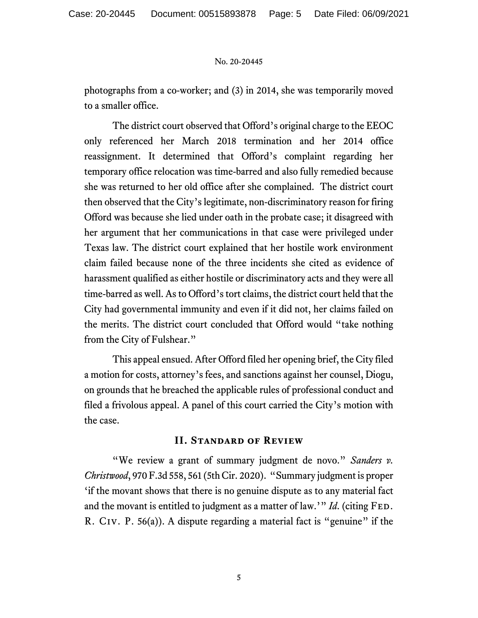photographs from a co-worker; and (3) in 2014, she was temporarily moved to a smaller office.

The district court observed that Offord's original charge to the EEOC only referenced her March 2018 termination and her 2014 office reassignment. It determined that Offord's complaint regarding her temporary office relocation was time-barred and also fully remedied because she was returned to her old office after she complained. The district court then observed that the City's legitimate, non-discriminatory reason for firing Offord was because she lied under oath in the probate case; it disagreed with her argument that her communications in that case were privileged under Texas law. The district court explained that her hostile work environment claim failed because none of the three incidents she cited as evidence of harassment qualified as either hostile or discriminatory acts and they were all time-barred as well. As to Offord's tort claims, the district court held that the City had governmental immunity and even if it did not, her claims failed on the merits. The district court concluded that Offord would "take nothing from the City of Fulshear."

This appeal ensued. After Offord filed her opening brief, the City filed a motion for costs, attorney's fees, and sanctions against her counsel, Diogu, on grounds that he breached the applicable rules of professional conduct and filed a frivolous appeal. A panel of this court carried the City's motion with the case.

# **II. Standard of Review**

"We review a grant of summary judgment de novo." *Sanders v. Christwood*, 970 F.3d 558, 561 (5th Cir. 2020). "Summary judgment is proper 'if the movant shows that there is no genuine dispute as to any material fact and the movant is entitled to judgment as a matter of law.'" *Id.* (citing FED. R. Civ. P. 56(a)). A dispute regarding a material fact is "genuine" if the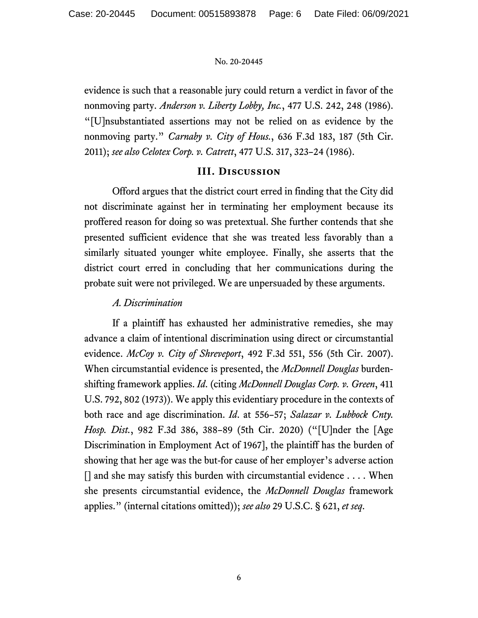evidence is such that a reasonable jury could return a verdict in favor of the nonmoving party. *Anderson v. Liberty Lobby, Inc.*, 477 U.S. 242, 248 (1986). "[U]nsubstantiated assertions may not be relied on as evidence by the nonmoving party." *Carnaby v. City of Hous.*, 636 F.3d 183, 187 (5th Cir. 2011); *see also Celotex Corp. v. Catrett*, 477 U.S. 317, 323–24 (1986).

# **III. Discussion**

Offord argues that the district court erred in finding that the City did not discriminate against her in terminating her employment because its proffered reason for doing so was pretextual. She further contends that she presented sufficient evidence that she was treated less favorably than a similarly situated younger white employee. Finally, she asserts that the district court erred in concluding that her communications during the probate suit were not privileged. We are unpersuaded by these arguments.

# *A. Discrimination*

If a plaintiff has exhausted her administrative remedies, she may advance a claim of intentional discrimination using direct or circumstantial evidence. *McCoy v. City of Shreveport*, 492 F.3d 551, 556 (5th Cir. 2007). When circumstantial evidence is presented, the *McDonnell Douglas* burdenshifting framework applies. *Id*. (citing *McDonnell Douglas Corp. v. Green*, 411 U.S. 792, 802 (1973)). We apply this evidentiary procedure in the contexts of both race and age discrimination. *Id*. at 556–57; *Salazar v. Lubbock Cnty. Hosp. Dist.*, 982 F.3d 386, 388–89 (5th Cir. 2020) ("[U]nder the [Age Discrimination in Employment Act of 1967], the plaintiff has the burden of showing that her age was the but-for cause of her employer's adverse action  $\Box$  and she may satisfy this burden with circumstantial evidence . . . . When she presents circumstantial evidence, the *McDonnell Douglas* framework applies." (internal citations omitted)); *see also* 29 U.S.C. § 621, *et seq*.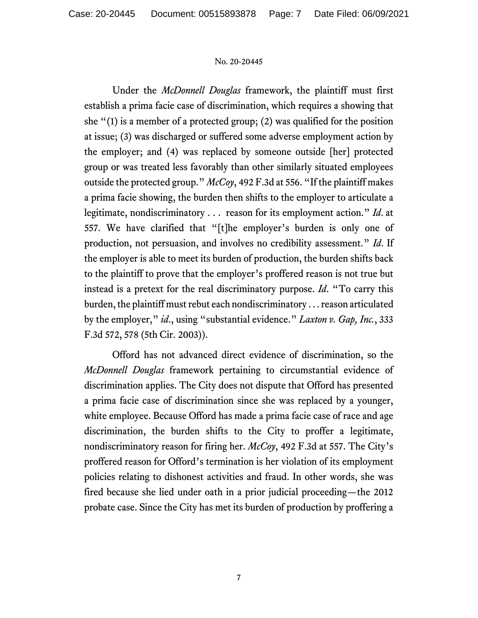Under the *McDonnell Douglas* framework, the plaintiff must first establish a prima facie case of discrimination, which requires a showing that she "(1) is a member of a protected group; (2) was qualified for the position at issue; (3) was discharged or suffered some adverse employment action by the employer; and (4) was replaced by someone outside [her] protected group or was treated less favorably than other similarly situated employees outside the protected group." *McCoy*, 492 F.3d at 556. "If the plaintiff makes a prima facie showing, the burden then shifts to the employer to articulate a legitimate, nondiscriminatory . . . reason for its employment action." *Id*. at 557. We have clarified that "[t]he employer's burden is only one of production, not persuasion, and involves no credibility assessment." *Id*. If the employer is able to meet its burden of production, the burden shifts back to the plaintiff to prove that the employer's proffered reason is not true but instead is a pretext for the real discriminatory purpose. *Id*. "To carry this burden, the plaintiff must rebut each nondiscriminatory . . .reason articulated by the employer," *id*., using "substantial evidence." *Laxton v. Gap, Inc.*, 333 F.3d 572, 578 (5th Cir. 2003)).

Offord has not advanced direct evidence of discrimination, so the *McDonnell Douglas* framework pertaining to circumstantial evidence of discrimination applies. The City does not dispute that Offord has presented a prima facie case of discrimination since she was replaced by a younger, white employee. Because Offord has made a prima facie case of race and age discrimination, the burden shifts to the City to proffer a legitimate, nondiscriminatory reason for firing her. *McCoy*, 492 F.3d at 557. The City's proffered reason for Offord's termination is her violation of its employment policies relating to dishonest activities and fraud. In other words, she was fired because she lied under oath in a prior judicial proceeding—the 2012 probate case. Since the City has met its burden of production by proffering a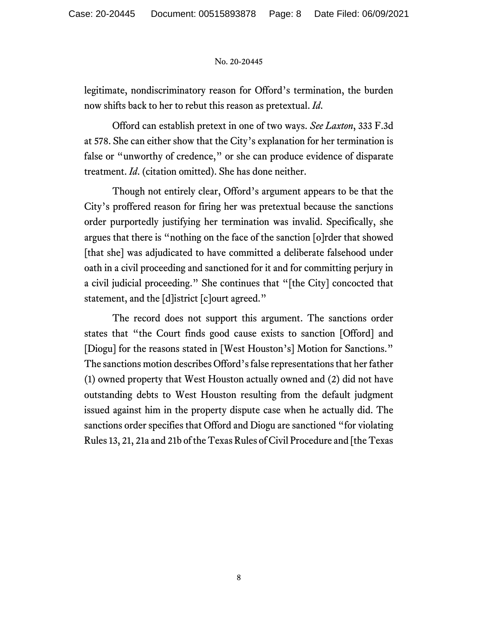legitimate, nondiscriminatory reason for Offord's termination, the burden now shifts back to her to rebut this reason as pretextual. *Id*.

Offord can establish pretext in one of two ways. *See Laxton*, 333 F.3d at 578. She can either show that the City's explanation for her termination is false or "unworthy of credence," or she can produce evidence of disparate treatment. *Id*. (citation omitted). She has done neither.

Though not entirely clear, Offord's argument appears to be that the City's proffered reason for firing her was pretextual because the sanctions order purportedly justifying her termination was invalid. Specifically, she argues that there is "nothing on the face of the sanction [o]rder that showed [that she] was adjudicated to have committed a deliberate falsehood under oath in a civil proceeding and sanctioned for it and for committing perjury in a civil judicial proceeding." She continues that "[the City] concocted that statement, and the [d]istrict [c]ourt agreed."

The record does not support this argument. The sanctions order states that "the Court finds good cause exists to sanction [Offord] and [Diogu] for the reasons stated in [West Houston's] Motion for Sanctions." The sanctions motion describes Offord's false representations that her father (1) owned property that West Houston actually owned and (2) did not have outstanding debts to West Houston resulting from the default judgment issued against him in the property dispute case when he actually did. The sanctions order specifies that Offord and Diogu are sanctioned "for violating Rules 13, 21, 21a and 21b of the Texas Rules of Civil Procedure and [the Texas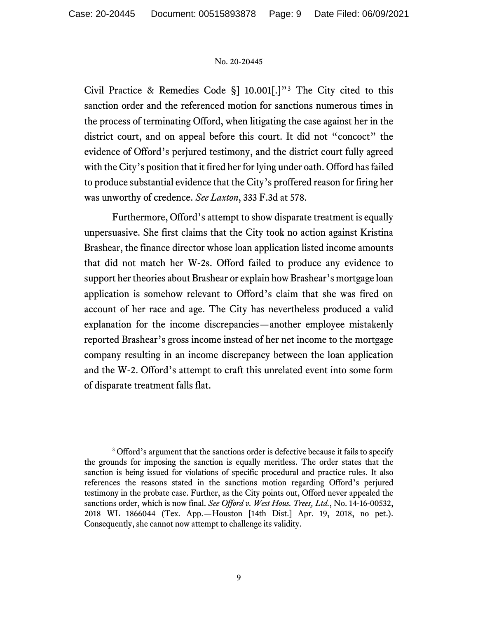Civil Practice & Remedies Code §] 10.001[.]"[3](#page-8-0) The City cited to this sanction order and the referenced motion for sanctions numerous times in the process of terminating Offord, when litigating the case against her in the district court, and on appeal before this court. It did not "concoct" the evidence of Offord's perjured testimony, and the district court fully agreed with the City's position that it fired her for lying under oath. Offord has failed to produce substantial evidence that the City's proffered reason for firing her was unworthy of credence. *See Laxton*, 333 F.3d at 578.

Furthermore, Offord's attempt to show disparate treatment is equally unpersuasive. She first claims that the City took no action against Kristina Brashear, the finance director whose loan application listed income amounts that did not match her W-2s. Offord failed to produce any evidence to support her theories about Brashear or explain how Brashear's mortgage loan application is somehow relevant to Offord's claim that she was fired on account of her race and age. The City has nevertheless produced a valid explanation for the income discrepancies—another employee mistakenly reported Brashear's gross income instead of her net income to the mortgage company resulting in an income discrepancy between the loan application and the W-2. Offord's attempt to craft this unrelated event into some form of disparate treatment falls flat.

<span id="page-8-0"></span><sup>&</sup>lt;sup>3</sup> Offord's argument that the sanctions order is defective because it fails to specify the grounds for imposing the sanction is equally meritless. The order states that the sanction is being issued for violations of specific procedural and practice rules. It also references the reasons stated in the sanctions motion regarding Offord's perjured testimony in the probate case. Further, as the City points out, Offord never appealed the sanctions order, which is now final. *See Offord v. West Hous. Trees, Ltd.*, No. 14-16-00532, 2018 WL 1866044 (Tex. App.—Houston [14th Dist.] Apr. 19, 2018, no pet.). Consequently, she cannot now attempt to challenge its validity.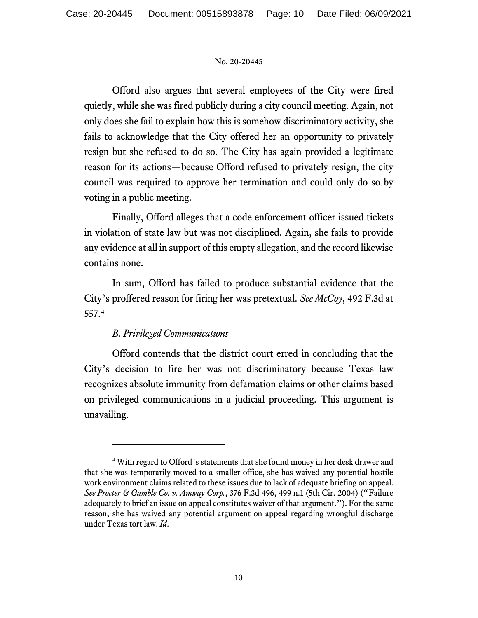Offord also argues that several employees of the City were fired quietly, while she was fired publicly during a city council meeting. Again, not only does she fail to explain how this is somehow discriminatory activity, she fails to acknowledge that the City offered her an opportunity to privately resign but she refused to do so. The City has again provided a legitimate reason for its actions—because Offord refused to privately resign, the city council was required to approve her termination and could only do so by voting in a public meeting.

Finally, Offord alleges that a code enforcement officer issued tickets in violation of state law but was not disciplined. Again, she fails to provide any evidence at all in support of this empty allegation, and the record likewise contains none.

In sum, Offord has failed to produce substantial evidence that the City's proffered reason for firing her was pretextual. *See McCoy*, 492 F.3d at 557.[4](#page-9-0)

# *B. Privileged Communications*

Offord contends that the district court erred in concluding that the City's decision to fire her was not discriminatory because Texas law recognizes absolute immunity from defamation claims or other claims based on privileged communications in a judicial proceeding. This argument is unavailing.

<span id="page-9-0"></span><sup>4</sup> With regard to Offord's statements that she found money in her desk drawer and that she was temporarily moved to a smaller office, she has waived any potential hostile work environment claims related to these issues due to lack of adequate briefing on appeal. *See Procter & Gamble Co. v. Amway Corp.*, 376 F.3d 496, 499 n.1 (5th Cir. 2004) ("Failure adequately to brief an issue on appeal constitutes waiver of that argument."). For the same reason, she has waived any potential argument on appeal regarding wrongful discharge under Texas tort law. *Id*.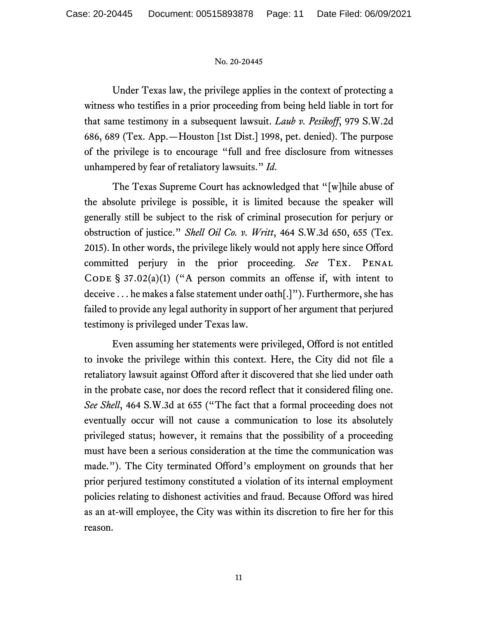Under Texas law, the privilege applies in the context of protecting a witness who testifies in a prior proceeding from being held liable in tort for that same testimony in a subsequent lawsuit. *Laub v. Pesikoff*, 979 S.W.2d 686, 689 (Tex. App.—Houston [1st Dist.] 1998, pet. denied). The purpose of the privilege is to encourage "full and free disclosure from witnesses unhampered by fear of retaliatory lawsuits." *Id*.

The Texas Supreme Court has acknowledged that "[w]hile abuse of the absolute privilege is possible, it is limited because the speaker will generally still be subject to the risk of criminal prosecution for perjury or obstruction of justice." *Shell Oil Co. v. Writt*, 464 S.W.3d 650, 655 (Tex. 2015). In other words, the privilege likely would not apply here since Offord committed perjury in the prior proceeding. *See* Tex. Penal CODE §  $37.02(a)(1)$  ("A person commits an offense if, with intent to deceive . . . he makes a false statement under oath[.]"). Furthermore, she has failed to provide any legal authority in support of her argument that perjured testimony is privileged under Texas law.

Even assuming her statements were privileged, Offord is not entitled to invoke the privilege within this context. Here, the City did not file a retaliatory lawsuit against Offord after it discovered that she lied under oath in the probate case, nor does the record reflect that it considered filing one. *See Shell*, 464 S.W.3d at 655 ("The fact that a formal proceeding does not eventually occur will not cause a communication to lose its absolutely privileged status; however, it remains that the possibility of a proceeding must have been a serious consideration at the time the communication was made."). The City terminated Offord's employment on grounds that her prior perjured testimony constituted a violation of its internal employment policies relating to dishonest activities and fraud. Because Offord was hired as an at-will employee, the City was within its discretion to fire her for this reason.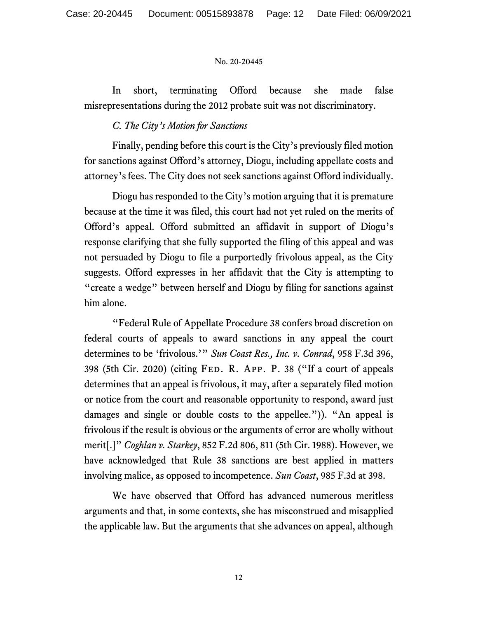In short, terminating Offord because she made false misrepresentations during the 2012 probate suit was not discriminatory.

# *C. The City's Motion for Sanctions*

Finally, pending before this court is the City's previously filed motion for sanctions against Offord's attorney, Diogu, including appellate costs and attorney's fees. The City does not seek sanctions against Offord individually.

Diogu has responded to the City's motion arguing that it is premature because at the time it was filed, this court had not yet ruled on the merits of Offord's appeal. Offord submitted an affidavit in support of Diogu's response clarifying that she fully supported the filing of this appeal and was not persuaded by Diogu to file a purportedly frivolous appeal, as the City suggests. Offord expresses in her affidavit that the City is attempting to "create a wedge" between herself and Diogu by filing for sanctions against him alone.

"Federal Rule of Appellate Procedure 38 confers broad discretion on federal courts of appeals to award sanctions in any appeal the court determines to be 'frivolous.'" *Sun Coast Res., Inc. v. Conrad*, 958 F.3d 396, 398 (5th Cir. 2020) (citing Fed. R. App. P. 38 ("If a court of appeals determines that an appeal is frivolous, it may, after a separately filed motion or notice from the court and reasonable opportunity to respond, award just damages and single or double costs to the appellee.")). "An appeal is frivolous if the result is obvious or the arguments of error are wholly without merit[.]" *Coghlan v. Starkey*, 852 F.2d 806, 811 (5th Cir. 1988). However, we have acknowledged that Rule 38 sanctions are best applied in matters involving malice, as opposed to incompetence. *Sun Coast*, 985 F.3d at 398.

We have observed that Offord has advanced numerous meritless arguments and that, in some contexts, she has misconstrued and misapplied the applicable law. But the arguments that she advances on appeal, although